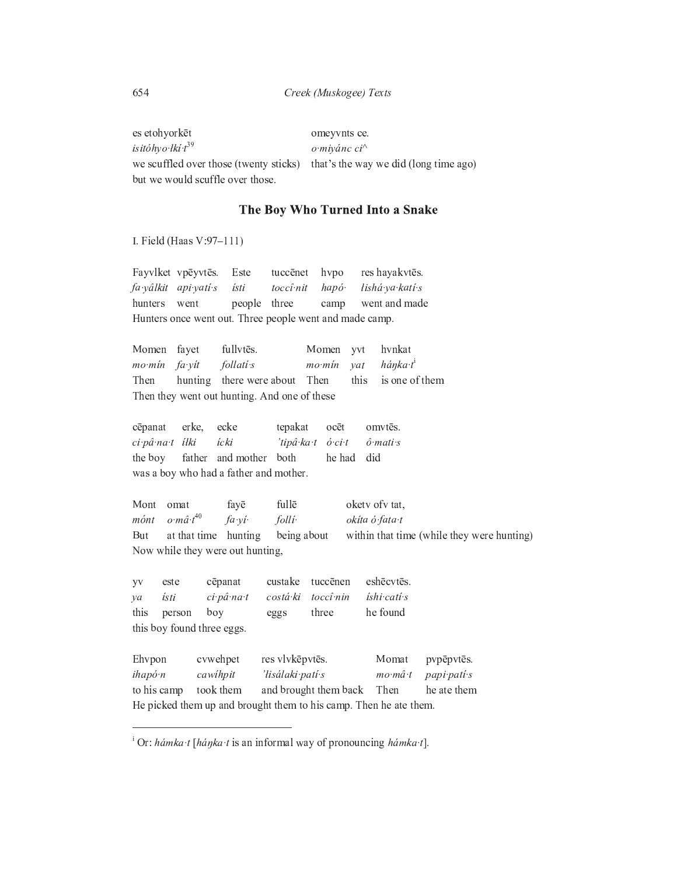es etohyorkēt omeyvnts ce. isitóhyo łkí t<sup>39</sup> o miyánc ci^ we scuffled over those (twenty sticks) that's the way we did (long time ago) but we would scuffle over those.

## The Boy Who Turned Into a Snake

I. Field (Haas V:97-111)

Fayvlket vpēyvtēs. Este hvpo res hayakvtēs. tuccēnet ísti lishá ya katí s fa yâlkit api yati s hapó. toccî nit hunters went people three went and made camp Hunters once went out. Three people went and made camp.

Momen fayet fullvtēs. Momen yvt hvnkat  $mo·min$ fa yit  $follati's$  $mo·min$  $\mathit{vat}$ hánka t<sup>i</sup> hunting there were about Then is one of them Then this Then they went out hunting. And one of these

| cēpanat erke, ecke                     |  |                                           | tepakat ocēt omvtēs.       |  |  |
|----------------------------------------|--|-------------------------------------------|----------------------------|--|--|
| ci pâ na t ílki ícki                   |  |                                           | 'tipâ ka t ó ci t ó mati s |  |  |
|                                        |  | the boy father and mother both he had did |                            |  |  |
| was a boy who had a father and mother. |  |                                           |                            |  |  |

fayē fullē okety of vtat, Mont omat  $o{\cdot}m\hat{a}{\cdot}t^{40}$ mónt fa yi folliokíta ó fata t But at that time hunting being about within that time (while they were hunting) Now while they were out hunting,

| <b>YV</b>            | este   | cēpanat                                                           | custake          | tuccēnen              | eshēcvtēs.        |             |
|----------------------|--------|-------------------------------------------------------------------|------------------|-----------------------|-------------------|-------------|
| $\mathcal{V}a$       | ísti   | ci pâ na t                                                        | costá ki         | toccî nin             | íshi catí s       |             |
| this                 | person | boy                                                               | eggs             | three                 | he found          |             |
|                      |        | this boy found three eggs.                                        |                  |                       |                   |             |
|                      |        |                                                                   |                  |                       |                   |             |
| Ehvpon               |        | cvwehpet                                                          | res vlvkēpvtēs.  |                       | Momat             | pypēpytēs.  |
| $i \frac{h}{\alpha}$ |        | cawihpit                                                          | 'lisálaki patí s |                       | $mo$ $m\hat{a}$ t | papi pati s |
| to his camp          |        | took them                                                         |                  | and brought them back | Then              | he ate them |
|                      |        | He picked them up and brought them to his camp. Then he ate them. |                  |                       |                   |             |

<sup>&</sup>lt;sup>i</sup> Or: hámka·t [háŋka·t is an informal way of pronouncing hámka·t].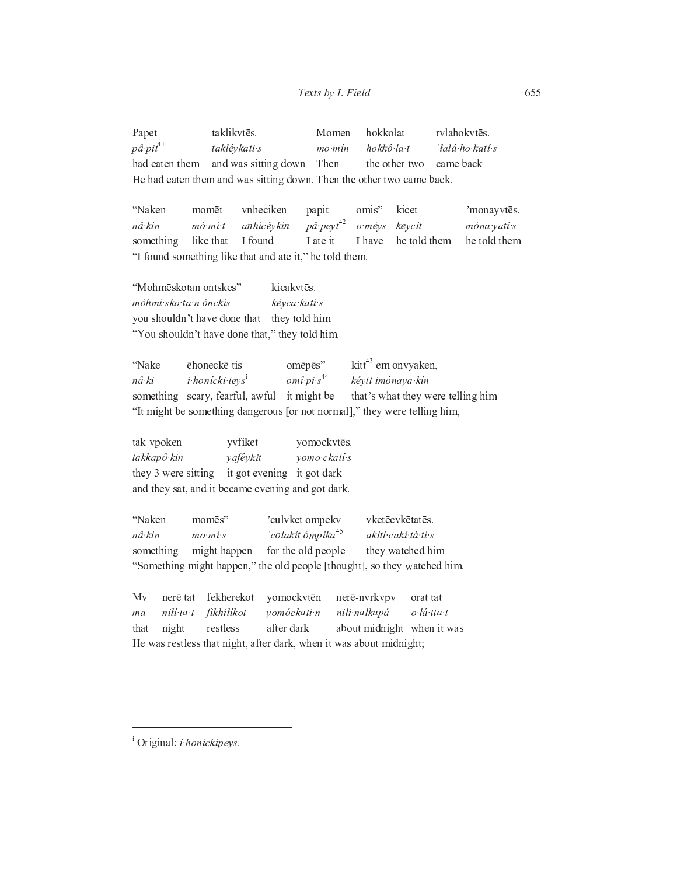Papet taklikvtēs. Momen hokkolat rvlahokvtēs.  $p\hat{a} \cdot p i t^{41}$ taklêvkati s  $mo·min$ hokkô la t 'lalá ho katí s and was sitting down Then the other two came back had eaten them He had eaten them and was sitting down. Then the other two came back.

"Naken momēt vnheciken papit omis" kicet 'monayvtēs.  $p\hat{a}$  peyt<sup>42</sup> nâ kin  $m\acute{o}$   $mi$  t anhicêykin keycít móna vatí s  $o$   $m$ éys he told them something like that I found I ate it I have he told them "I found something like that and ate it," he told them.

"Mohmēskotan ontskes" kicakvtēs. móhmí sko ta n ónckis kéyca kati s you shouldn't have done that they told him "You shouldn't have done that," they told him.

kitt<sup>43</sup> em onvyaken, "Nake ēhoneckē tis omēpēs"  $omî pi s<sup>44</sup>$ nâ ki i honícki teys<sup>i</sup> kéytt imónaya kín something scary, fearful, awful it might be that's what they were telling him "It might be something dangerous [or not normal]," they were telling him,

tak-vpoken yvfiket yomockvtēs. takkapô kin vafêykit vomo ckatí s they 3 were sitting it got evening it got dark and they sat, and it became evening and got dark.

"Naken momēs" 'culvket ompekv vketēc vkētatēs. 'colakít ômpika<sup>45</sup> akiti cakí tá ti s nâ kin  $mo$   $mi$  s something might happen for the old people they watched him "Something might happen," the old people [thought], so they watched him.

fekherekot  $Mv$ nerē tat yomockvtēn nerē-nvrkvpv orat tat ma nilí ta t fikhilikot vomóckati n nili nalkapá o łâ tta t about midnight when it was restless after dark that night He was restless that night, after dark, when it was about midnight;

<sup>i</sup> Original: *i honickipeys*.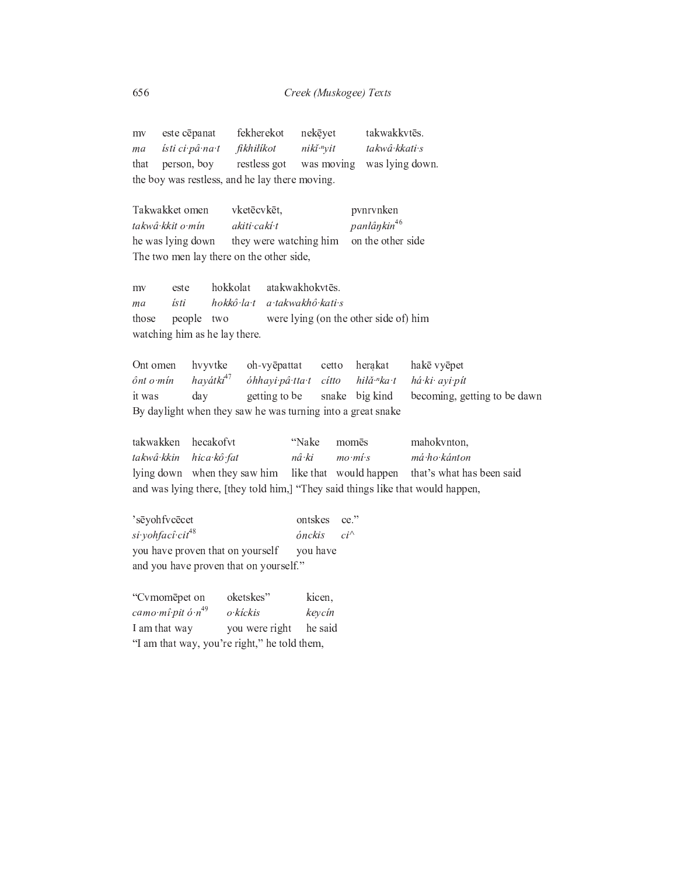este cēpanat fekherekot takwakkvtēs. nekēyet mv ma ísti ci pâ na t fikhilikot niki <sup>n</sup>yit takwâ kkati s person, boy restless got was moving was lying down. that the boy was restless, and he lay there moving. vketēcvkēt. Takwakket omen pvnrvnken panłânkin<sup>46</sup> takwâ kkit o min akiti caki t on the other side he was lying down they were watching him The two men lay there on the other side, hokkolat atakwakhokytēs. este mv hokkô la t a takwakhô kati s ísti ma people two were lying (on the other side of) him those watching him as he lay there. Ont omen hvyvtke oh-vyēpattat cetto herakat hakē vyēpet  $h$ avátki $47$ ônt o min óhhayi pâ tta t cítto hiłă·<sup>n</sup>ka·t há ki ayi pít getting to be becoming, getting to be dawn it was day snake big kind By daylight when they saw he was turning into a great snake "Nake takwakken hecakofvt momēs mahokvnton, takwâ kkin hica kô fat nâ ki má ho kánton  $mo·mi·s$ lying down when they saw him like that would happen that's what has been said and was lying there, [they told him,] "They said things like that would happen, 'sēyohfvcēcet ontskes ce." si yohfacî cit<sup>48</sup> ónckis  $ci^{\wedge}$ you have proven that on yourself you have and you have proven that on yourself." "Cvmomepet on oketskes"

kicen, camo mî pit ó  $n^{49}$ o kíckis keycín I am that way he said you were right "I am that way, you're right," he told them,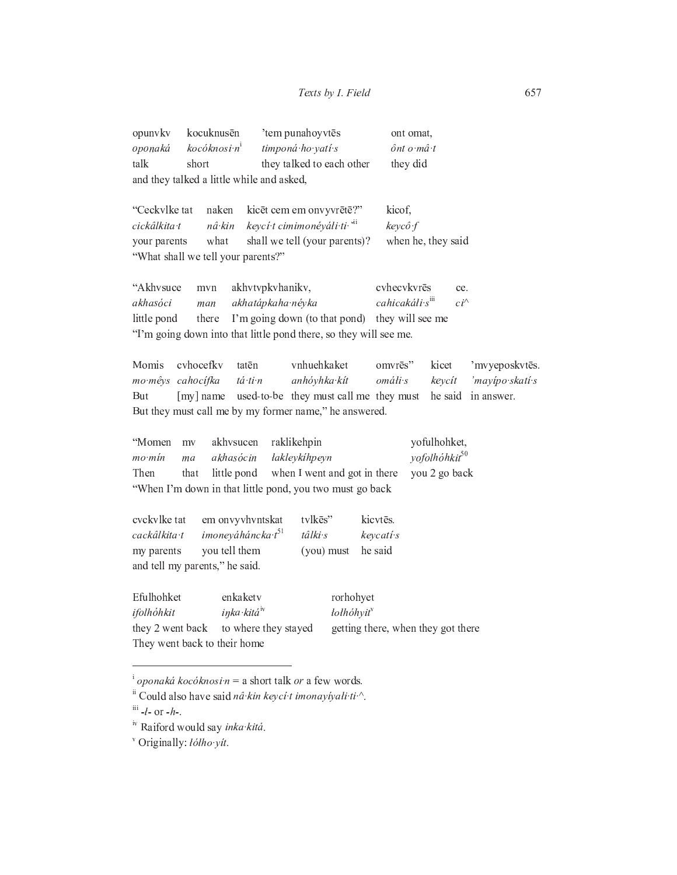|                                           | opunyky kocuknusēn           | 'tem punahoyytēs          | ont omat,  |  |  |
|-------------------------------------------|------------------------------|---------------------------|------------|--|--|
| oponaká                                   | $k$ ocóknosi n $\frac{1}{2}$ | timponá ho yatí s         | ônt o mâ t |  |  |
| talk                                      | short                        | they talked to each other | they did   |  |  |
| and they talked a little while and asked, |                              |                           |            |  |  |

"Ceckvlke tat kicēt cem em onvyvrētē?" naken kicof. cickâlkita t  $n\hat{a}$ ·kin keycí t cimimonéyáli ti vi  $keyc$ ô f what shall we tell (your parents)? when he, they said your parents "What shall we tell your parents?"

"Akhysuce akhvtvpkvhanikv, cvhecvkvrēs mvn ce. akhasóci akhatápkaha néyka cahicakáli s<sup>iii</sup>  $ci^\wedge$ man I'm going down (to that pond) they will see me little pond there "I'm going down into that little pond there, so they will see me.

Momis cvhocefkv tatēn vnhuehkaket omvrēs" kicet 'mvyeposkvtēs. mo mêys cahocífka tá ti n anhóyhka kít omáli s kevcít 'mayipo skati s But [my] name used-to-be they must call me they must he said in answer. But they must call me by my former name," he answered.

"Momen akhvsucen yofulhohket,  $mv$ raklikehpin vofolhóhkit<sup>50</sup>  $mo·min$ akhasócin łakleykihpeyn ma Then that little pond when I went and got in there you 2 go back "When I'm down in that little pond, you two must go back

| cyckylke tat                   | em onvyvhvntskat       | tylkes"            | kicytēs.  |  |  |
|--------------------------------|------------------------|--------------------|-----------|--|--|
| cackâlkita t                   | imoneyáháncka $t^{51}$ | tâlki s            | keycati s |  |  |
| my parents                     | you tell them          | (you) must he said |           |  |  |
| and tell my parents," he said. |                        |                    |           |  |  |

Efulhohket enkaketv rorhohyet inka kitá<sup>iv</sup> ifolhóhkit  $\delta$ lolhóhyit<sup>v</sup> they 2 went back to where they stayed getting there, when they got there They went back to their home

<sup>&</sup>lt;sup>i</sup> oponaká kocóknosi n = a short talk or a few words.

ii Could also have said nâ kin keycí t imonayiyali ti.^.

 $^{\rm iii}$  -ł- or -h-.

<sup>&</sup>lt;sup>iv</sup> Raiford would say inka kitá.

<sup>&</sup>lt;sup>v</sup> Originally: *lółho vít*.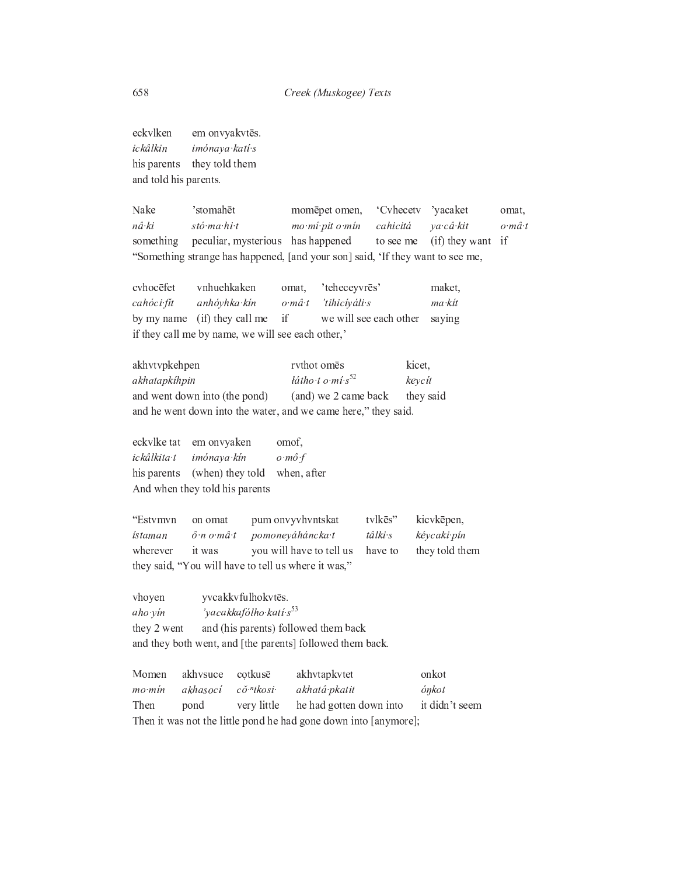eckvlken em onvyakvtēs. ickâlkin imónava katí s his parents they told them and told his parents.

Nake 'stomahēt momēpet omen, 'Cvhecetv 'yacaket omat. nâ ki stó ma hi t mo mî pit o min cahicitá va câ kit  $o·m\hat{a}·t$ something peculiar, mysterious has happened to see me (if) they want if "Something strange has happened, [and your son] said, 'If they want to see me,

cvhocēfet vnhuehkaken 'teheceyvrēs' omat. maket. cahóci fit anhóyhka kín 'tihicíyáli s  $o·m\hat{a}·t$ ma kit by my name (if) they call me if we will see each other saying if they call me by name, we will see each other,

akhvtvpkehpen rvthot omēs kicet. látho t o mí  $s^{52}$ akhatapkíhpin keycít (and) we 2 came back and went down into (the pond) they said and he went down into the water, and we came here," they said.

eckvlke tat em onvyaken omof. ickâlkita t imónaya kín o mô f his parents (when) they told when, after And when they told his parents

"Estymyn on omat pum onvyvhvntskat tylkēs" kicvkēpen, ístaman  $\hat{o}$  n  $o$  m $\hat{a}$  t pomoneyáháncka t kéycaki pín tâlki s wherever it was you will have to tell us they told them have to they said, "You will have to tell us where it was,"

vhoyen yvcakkvfulhokvtēs. 'yacakkafólho katí s<sup>53</sup> aho vin and (his parents) followed them back they 2 went and they both went, and [the parents] followed them back.

Momen akhysuce cotkusē akhvtapkvtet onkot  $mo·min$ akhasocí  $c\check{o}$  "tkosi ónkot akhatâ pkatit Then it didn't seem pond very little he had gotten down into Then it was not the little pond he had gone down into [anymore];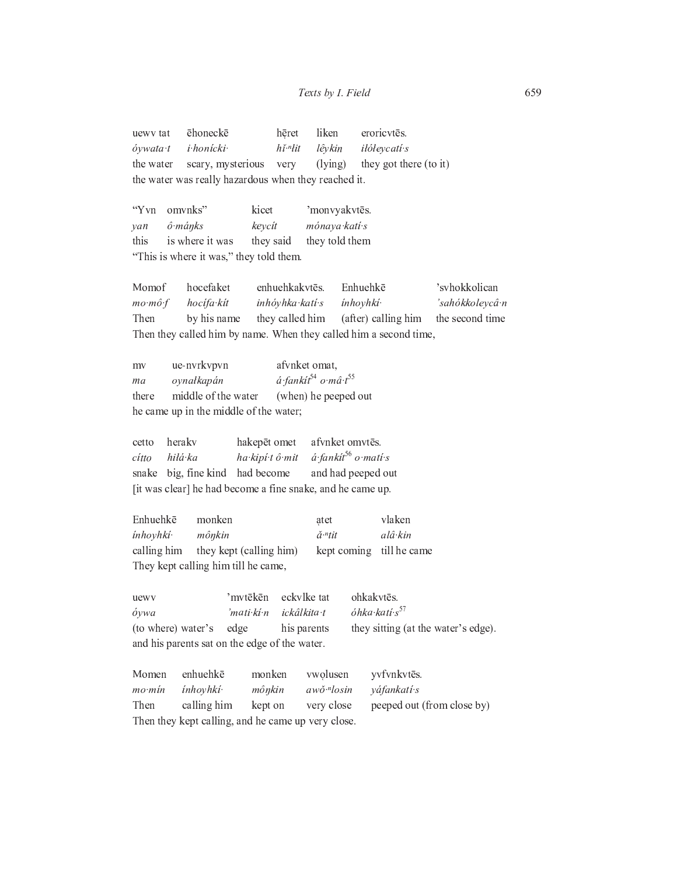ēhoneckē liken eroricvtēs. uewv tat hēret óywata t i honícki  $h\check{\imath}$ <sup> $\eta$ </sup> $it$ lêvkin *ilóleycatí s* scary, mysterious they got there (to it) the water very  $(lying)$ the water was really hazardous when they reached it.

"Yvn omvnks" kicet 'monvyakvtēs.  $\hat{o}$ · $m \hat{a}$ nks keycít mónaya katí s  $van$ is where it was they said they told them this "This is where it was," they told them.

hocefaket enhuehkakvtēs. Enhuehkē 'svhokkolican Momof inhóyhka katí s inhoyhki<sup>.</sup> 'sahókkoleycân  $mo \cdot m\hat{o} \cdot f$ hocífa kít Then by his name they called him (after) calling him the second time Then they called him by name. When they called him a second time,

ue-nvrkvpvn afvnket omat,  $mv$ á fankít<sup>54</sup> o mâ t<sup>55</sup> ma oynałkapán middle of the water (when) he peeped out there he came up in the middle of the water;

hakepēt omet afvnket omvtēs. cetto herakv  $\acute{a}$  fankit<sup>56</sup> o mati s hilá ka ha kipí tô mit cítto snake big, fine kind had become and had peeped out [it was clear] he had become a fine snake, and he came up.

Enhuehkē monken atet vlaken  $al\hat{a}{\cdot}kin$ inhoyhki· mônkin  $\check{a}^{\scriptscriptstyle\#}$ tit calling him they kept (calling him) till he came kept coming They kept calling him till he came,

'mvtēkēn eckvlke tat ohkakvtēs. uewy óhka katí s<sup>57</sup> óywa 'mati ki n ickâlkita t they sitting (at the water's edge). (to where) water's edge his parents and his parents sat on the edge of the water.

Momen enhuehkē monken vwolusen yvfvnkvtēs.  $mo·min$ inhoyhki· mônkin awŏ.<sup>n</sup>losin váfankati s Then calling him kept on very close peeped out (from close by) Then they kept calling, and he came up very close.